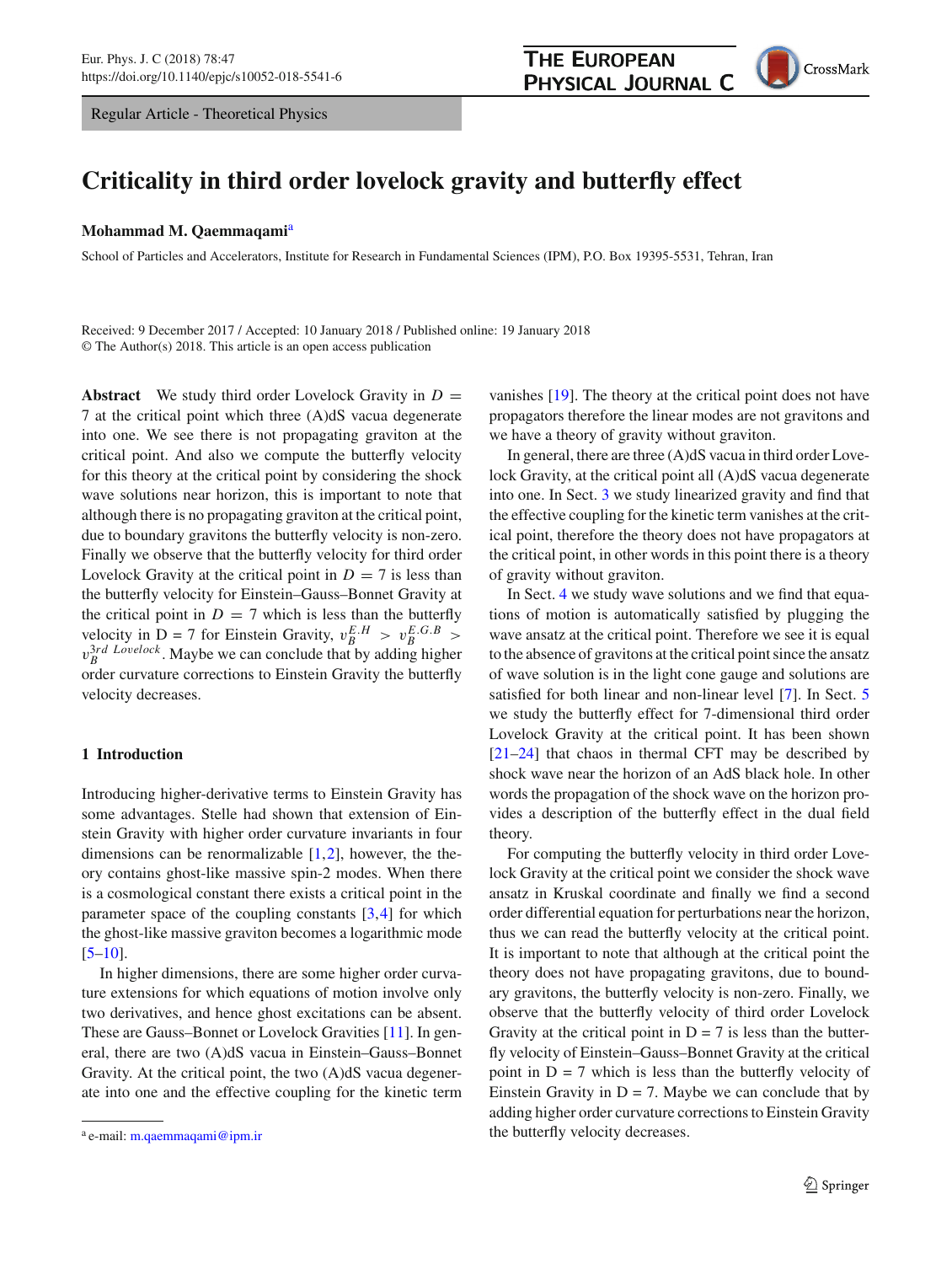Regular Article - Theoretical Physics



# **Criticality in third order lovelock gravity and butterfly effect**

#### **Mohammad M. Qaemmaqami**<sup>a</sup>

School of Particles and Accelerators, Institute for Research in Fundamental Sciences (IPM), P.O. Box 19395-5531, Tehran, Iran

Received: 9 December 2017 / Accepted: 10 January 2018 / Published online: 19 January 2018 © The Author(s) 2018. This article is an open access publication

**Abstract** We study third order Lovelock Gravity in  $D =$ 7 at the critical point which three (A)dS vacua degenerate into one. We see there is not propagating graviton at the critical point. And also we compute the butterfly velocity for this theory at the critical point by considering the shock wave solutions near horizon, this is important to note that although there is no propagating graviton at the critical point, due to boundary gravitons the butterfly velocity is non-zero. Finally we observe that the butterfly velocity for third order Lovelock Gravity at the critical point in  $D = 7$  is less than the butterfly velocity for Einstein–Gauss–Bonnet Gravity at the critical point in  $D = 7$  which is less than the butterfly velocity in D = 7 for Einstein Gravity,  $v_B^{E.H} > v_B^{E.G.B} >$  $v_B^{3rd}$  *Lovelock*. Maybe we can conclude that by adding higher order curvature corrections to Einstein Gravity the butterfly velocity decreases.

## **1 Introduction**

Introducing higher-derivative terms to Einstein Gravity has some advantages. Stelle had shown that extension of Einstein Gravity with higher order curvature invariants in four dimensions can be renormalizable  $[1,2]$  $[1,2]$  $[1,2]$ , however, the theory contains ghost-like massive spin-2 modes. When there is a cosmological constant there exists a critical point in the parameter space of the coupling constants  $[3,4]$  $[3,4]$  for which the ghost-like massive graviton becomes a logarithmic mode  $[5-10]$  $[5-10]$ .

In higher dimensions, there are some higher order curvature extensions for which equations of motion involve only two derivatives, and hence ghost excitations can be absent. These are Gauss–Bonnet or Lovelock Gravities [\[11](#page-4-6)]. In general, there are two (A)dS vacua in Einstein–Gauss–Bonnet Gravity. At the critical point, the two (A)dS vacua degenerate into one and the effective coupling for the kinetic term

vanishes [\[19](#page-4-7)]. The theory at the critical point does not have propagators therefore the linear modes are not gravitons and we have a theory of gravity without graviton.

In general, there are three (A)dS vacua in third order Lovelock Gravity, at the critical point all (A)dS vacua degenerate into one. In Sect. [3](#page-1-0) we study linearized gravity and find that the effective coupling for the kinetic term vanishes at the critical point, therefore the theory does not have propagators at the critical point, in other words in this point there is a theory of gravity without graviton.

In Sect. [4](#page-2-0) we study wave solutions and we find that equations of motion is automatically satisfied by plugging the wave ansatz at the critical point. Therefore we see it is equal to the absence of gravitons at the critical point since the ansatz of wave solution is in the light cone gauge and solutions are satisfied for both linear and non-linear level [\[7\]](#page-4-8). In Sect. [5](#page-2-1) we study the butterfly effect for 7-dimensional third order Lovelock Gravity at the critical point. It has been shown  $[21-24]$  $[21-24]$  that chaos in thermal CFT may be described by shock wave near the horizon of an AdS black hole. In other words the propagation of the shock wave on the horizon provides a description of the butterfly effect in the dual field theory.

For computing the butterfly velocity in third order Lovelock Gravity at the critical point we consider the shock wave ansatz in Kruskal coordinate and finally we find a second order differential equation for perturbations near the horizon, thus we can read the butterfly velocity at the critical point. It is important to note that although at the critical point the theory does not have propagating gravitons, due to boundary gravitons, the butterfly velocity is non-zero. Finally, we observe that the butterfly velocity of third order Lovelock Gravity at the critical point in  $D = 7$  is less than the butterfly velocity of Einstein–Gauss–Bonnet Gravity at the critical point in  $D = 7$  which is less than the butterfly velocity of Einstein Gravity in  $D = 7$ . Maybe we can conclude that by adding higher order curvature corrections to Einstein Gravity the butterfly velocity decreases.

<sup>a</sup> e-mail: [m.qaemmaqami@ipm.ir](mailto:m.qaemmaqami@ipm.ir)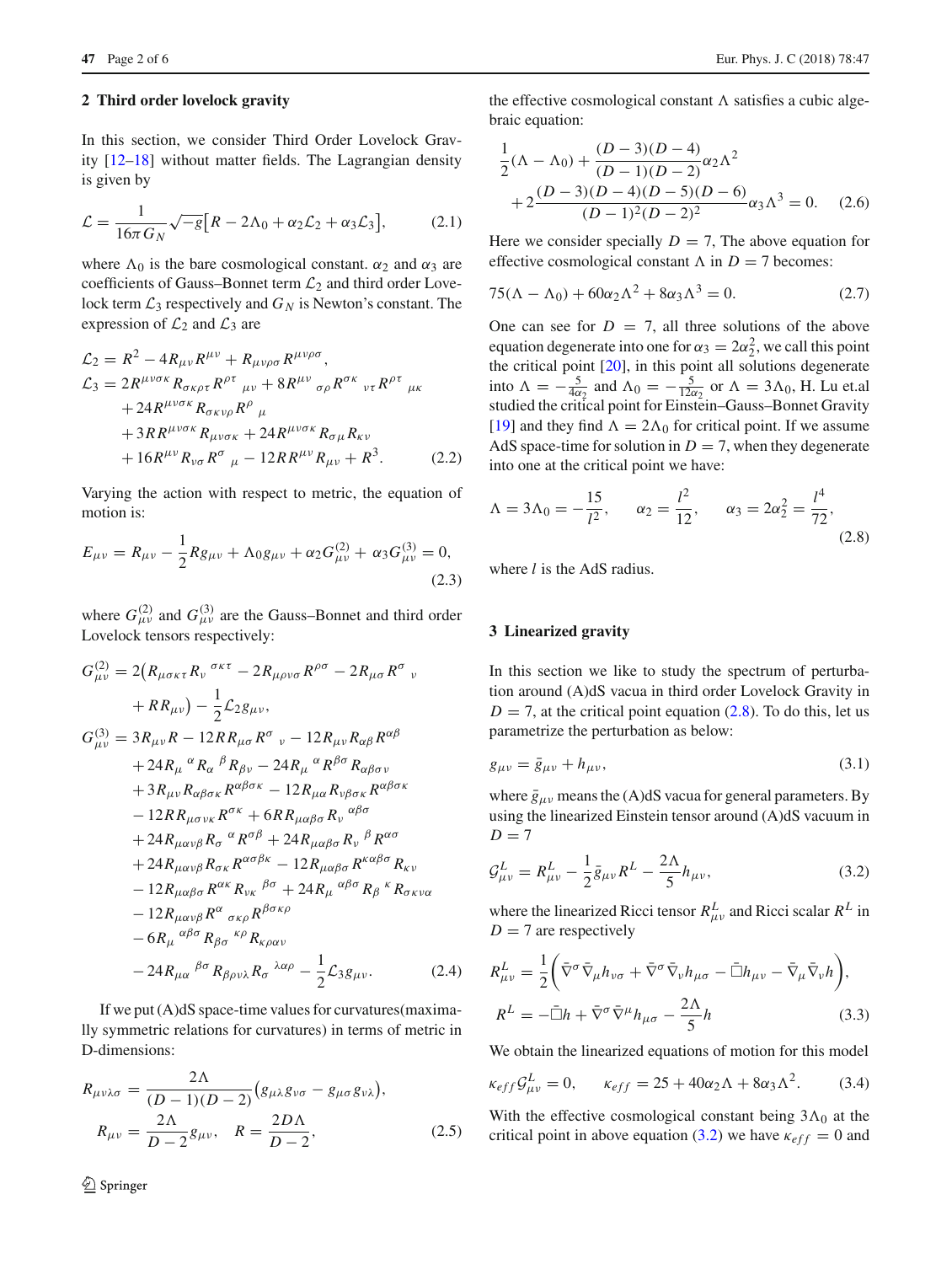#### **2 Third order lovelock gravity**

In this section, we consider Third Order Lovelock Gravity [\[12](#page-4-11)[–18\]](#page-4-12) without matter fields. The Lagrangian density is given by

$$
\mathcal{L} = \frac{1}{16\pi G_N} \sqrt{-g} \big[ R - 2\Lambda_0 + \alpha_2 \mathcal{L}_2 + \alpha_3 \mathcal{L}_3 \big],\tag{2.1}
$$

where  $\Lambda_0$  is the bare cosmological constant.  $\alpha_2$  and  $\alpha_3$  are coefficients of Gauss–Bonnet term *L*<sup>2</sup> and third order Lovelock term  $\mathcal{L}_3$  respectively and  $G_N$  is Newton's constant. The expression of  $\mathcal{L}_2$  and  $\mathcal{L}_3$  are

$$
\mathcal{L}_2 = R^2 - 4R_{\mu\nu}R^{\mu\nu} + R_{\mu\nu\rho\sigma}R^{\mu\nu\rho\sigma},
$$
  
\n
$$
\mathcal{L}_3 = 2R^{\mu\nu\sigma\kappa}R_{\sigma\kappa\rho\tau}R^{\rho\tau}{}_{\mu\nu} + 8R^{\mu\nu}{}_{\sigma\rho}R^{\sigma\kappa}{}_{\nu\tau}R^{\rho\tau}{}_{\mu\kappa}
$$
  
\n
$$
+ 24R^{\mu\nu\sigma\kappa}R_{\sigma\kappa\nu\rho}R^{\rho}{}_{\mu}
$$
  
\n
$$
+ 3RR^{\mu\nu\sigma\kappa}R_{\mu\nu\sigma\kappa} + 24R^{\mu\nu\sigma\kappa}R_{\sigma\mu}R_{\kappa\nu}
$$
  
\n
$$
+ 16R^{\mu\nu}R_{\nu\sigma}R^{\sigma}{}_{\mu} - 12RR^{\mu\nu}R_{\mu\nu} + R^3.
$$
 (2.2)

Varying the action with respect to metric, the equation of motion is:

<span id="page-1-3"></span>
$$
E_{\mu\nu} = R_{\mu\nu} - \frac{1}{2} R g_{\mu\nu} + \Lambda_0 g_{\mu\nu} + \alpha_2 G_{\mu\nu}^{(2)} + \alpha_3 G_{\mu\nu}^{(3)} = 0,
$$
\n(2.3)

where  $G^{(2)}_{\mu\nu}$  and  $G^{(3)}_{\mu\nu}$  are the Gauss–Bonnet and third order Lovelock tensors respectively:

$$
G_{\mu\nu}^{(2)} = 2(R_{\mu\sigma\kappa\tau}R_{\nu}{}^{\sigma\kappa\tau} - 2R_{\mu\rho\nu\sigma}R^{\rho\sigma} - 2R_{\mu\sigma}R^{\sigma}{}_{\nu}
$$
  
+  $RR_{\mu\nu}$ ) -  $\frac{1}{2}L_{2}g_{\mu\nu}$ ,  

$$
G_{\mu\nu}^{(3)} = 3R_{\mu\nu}R - 12RR_{\mu\sigma}R^{\sigma}{}_{\nu} - 12R_{\mu\nu}R_{\alpha\beta}R^{\alpha\beta}{}_{\rho}
$$
  
+  $24R_{\mu}{}^{\alpha}R_{\alpha}{}^{\beta}R_{\beta\nu} - 24R_{\mu}{}^{\alpha}R^{\beta\sigma}R_{\alpha\beta\sigma\nu}$   
+  $3R_{\mu\nu}R_{\alpha\beta\sigma\kappa}R^{\alpha\beta\sigma\kappa} - 12R_{\mu\alpha}R_{\nu\beta\sigma\kappa}R^{\alpha\beta\sigma\kappa}$   
-  $12RR_{\mu\sigma\nu\kappa}R^{\sigma\kappa} + 6RR_{\mu\alpha\beta\sigma}R_{\nu}{}^{\alpha\beta\sigma}$   
+  $24R_{\mu\alpha\nu\beta}R_{\sigma}{}^{\alpha}R^{\sigma\beta} + 24R_{\mu\alpha\beta\sigma}R_{\nu}{}^{\beta}R^{\alpha\sigma}$   
+  $24R_{\mu\alpha\nu\beta}R_{\sigma\kappa}R^{\alpha\sigma\beta\kappa} - 12R_{\mu\alpha\beta\sigma}R^{\kappa\alpha\beta\sigma}R_{\kappa\nu}$   
-  $12R_{\mu\alpha\nu\beta}R^{\alpha}{}_{\sigma\kappa\rho}R^{\beta\sigma\kappa\rho}$   
-  $12R_{\mu\alpha\nu\beta}R^{\alpha}{}_{\sigma\kappa\rho}R^{\beta\sigma\kappa\rho}$   
-  $6R_{\mu}{}^{\alpha\beta\sigma}R_{\beta\sigma}{}^{\kappa\rho}R_{\kappa\rho\alpha\nu}$   
-  $24R_{\mu\alpha}{}^{\beta\sigma}R_{\beta\sigma\nu\lambda}R_{\sigma}{}^{\lambda\alpha\rho} - \frac{1}{2}L_{3}g_{\mu\nu}$ . (2

If we put (A)dS space-time values for curvatures(maximally symmetric relations for curvatures) in terms of metric in D-dimensions:

$$
R_{\mu\nu\lambda\sigma} = \frac{2\Lambda}{(D-1)(D-2)} (g_{\mu\lambda}g_{\nu\sigma} - g_{\mu\sigma}g_{\nu\lambda}),
$$
  
\n
$$
R_{\mu\nu} = \frac{2\Lambda}{D-2}g_{\mu\nu}, \quad R = \frac{2D\Lambda}{D-2},
$$
\n(2.5)

the effective cosmological constant  $\Lambda$  satisfies a cubic algebraic equation:

$$
\frac{1}{2}(\Lambda - \Lambda_0) + \frac{(D-3)(D-4)}{(D-1)(D-2)}\alpha_2\Lambda^2
$$
  
+2 $\frac{(D-3)(D-4)(D-5)(D-6)}{(D-1)^2(D-2)^2}\alpha_3\Lambda^3 = 0.$  (2.6)

Here we consider specially  $D = 7$ , The above equation for effective cosmological constant  $\Lambda$  in  $D = 7$  becomes:

<span id="page-1-4"></span>
$$
75(\Lambda - \Lambda_0) + 60\alpha_2\Lambda^2 + 8\alpha_3\Lambda^3 = 0.
$$
 (2.7)

One can see for  $D = 7$ , all three solutions of the above equation degenerate into one for  $\alpha_3 = 2\alpha_2^2$ , we call this point the critical point [\[20\]](#page-4-13), in this point all solutions degenerate into  $\Lambda = -\frac{5}{4\alpha_2}$  and  $\Lambda_0 = -\frac{5}{12\alpha_2}$  or  $\Lambda = 3\Lambda_0$ , H. Lu et.al studied the critical point for Einstein–Gauss–Bonnet Gravity [\[19](#page-4-7)] and they find  $\Lambda = 2\Lambda_0$  for critical point. If we assume AdS space-time for solution in  $D = 7$ , when they degenerate into one at the critical point we have:

<span id="page-1-1"></span>
$$
\Lambda = 3\Lambda_0 = -\frac{15}{l^2}, \qquad \alpha_2 = \frac{l^2}{12}, \qquad \alpha_3 = 2\alpha_2^2 = \frac{l^4}{72}, \qquad (2.8)
$$

where *l* is the AdS radius.

## <span id="page-1-0"></span>**3 Linearized gravity**

In this section we like to study the spectrum of perturbation around (A)dS vacua in third order Lovelock Gravity in  $D = 7$ , at the critical point equation [\(2.8\)](#page-1-1). To do this, let us parametrize the perturbation as below:

$$
g_{\mu\nu} = \bar{g}_{\mu\nu} + h_{\mu\nu},\tag{3.1}
$$

where  $\bar{g}_{\mu\nu}$  means the (A)dS vacua for general parameters. By using the linearized Einstein tensor around (A)dS vacuum in  $D = 7$ 

<span id="page-1-2"></span>
$$
\mathcal{G}^{L}_{\mu\nu} = R^{L}_{\mu\nu} - \frac{1}{2}\bar{g}_{\mu\nu}R^{L} - \frac{2\Lambda}{5}h_{\mu\nu},
$$
\n(3.2)

where the linearized Ricci tensor  $R_{\mu\nu}^L$  and Ricci scalar  $R^L$  in  $D = 7$  are respectively

$$
R_{\mu\nu}^{L} = \frac{1}{2} \left( \bar{\nabla}^{\sigma} \bar{\nabla}_{\mu} h_{\nu\sigma} + \bar{\nabla}^{\sigma} \bar{\nabla}_{\nu} h_{\mu\sigma} - \bar{\square} h_{\mu\nu} - \bar{\nabla}_{\mu} \bar{\nabla}_{\nu} h \right),
$$
  
\n
$$
R^{L} = -\bar{\square} h + \bar{\nabla}^{\sigma} \bar{\nabla}^{\mu} h_{\mu\sigma} - \frac{2\Lambda}{5} h
$$
\n(3.3)

We obtain the linearized equations of motion for this model

<span id="page-1-5"></span>
$$
\kappa_{eff} \mathcal{G}^L_{\mu\nu} = 0, \qquad \kappa_{eff} = 25 + 40\alpha_2 \Lambda + 8\alpha_3 \Lambda^2. \tag{3.4}
$$

With the effective cosmological constant being  $3\Lambda_0$  at the critical point in above equation [\(3.2\)](#page-1-2) we have  $\kappa_{eff} = 0$  and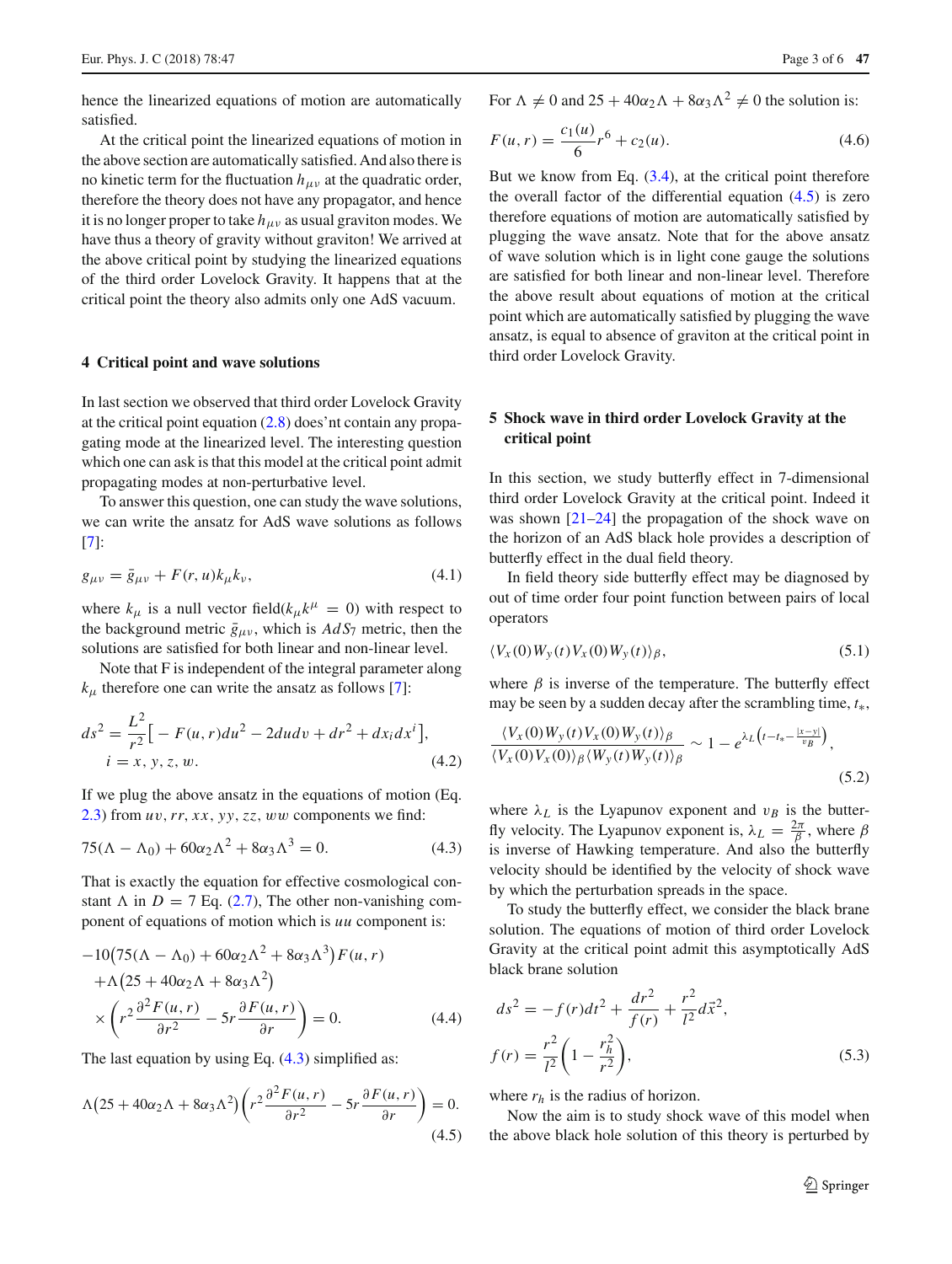hence the linearized equations of motion are automatically satisfied.

At the critical point the linearized equations of motion in the above section are automatically satisfied. And also there is no kinetic term for the fluctuation  $h_{\mu\nu}$  at the quadratic order, therefore the theory does not have any propagator, and hence it is no longer proper to take  $h_{\mu\nu}$  as usual graviton modes. We have thus a theory of gravity without graviton! We arrived at the above critical point by studying the linearized equations of the third order Lovelock Gravity. It happens that at the critical point the theory also admits only one AdS vacuum.

#### <span id="page-2-0"></span>**4 Critical point and wave solutions**

In last section we observed that third order Lovelock Gravity at the critical point equation  $(2.8)$  does' nt contain any propagating mode at the linearized level. The interesting question which one can ask is that this model at the critical point admit propagating modes at non-perturbative level.

To answer this question, one can study the wave solutions, we can write the ansatz for AdS wave solutions as follows [\[7](#page-4-8)]:

$$
g_{\mu\nu} = \bar{g}_{\mu\nu} + F(r, u)k_{\mu}k_{\nu},\tag{4.1}
$$

where  $k_{\mu}$  is a null vector field( $k_{\mu}k^{\mu} = 0$ ) with respect to the background metric  $\bar{g}_{\mu\nu}$ , which is  $AdS_7$  metric, then the solutions are satisfied for both linear and non-linear level.

Note that F is independent of the integral parameter along  $k_{\mu}$  therefore one can write the ansatz as follows [\[7\]](#page-4-8):

$$
ds^{2} = \frac{L^{2}}{r^{2}} \Big[ -F(u, r) du^{2} - 2du dv + dr^{2} + dx_{i} dx^{i} \Big],
$$
  
\n
$$
i = x, y, z, w.
$$
\n(4.2)

If we plug the above ansatz in the equations of motion (Eq. [2.3\)](#page-1-3) from *u*v,*rr*, *x x*, *yy*,*zz*, ww components we find:

<span id="page-2-2"></span>
$$
75(\Lambda - \Lambda_0) + 60\alpha_2\Lambda^2 + 8\alpha_3\Lambda^3 = 0.
$$
 (4.3)

That is exactly the equation for effective cosmological constant  $\Lambda$  in  $D = 7$  Eq. [\(2.7\)](#page-1-4), The other non-vanishing component of equations of motion which is *uu* component is:

$$
-10(75(\Lambda - \Lambda_0) + 60\alpha_2\Lambda^2 + 8\alpha_3\Lambda^3)F(u, r)
$$
  
+  $\Lambda(25 + 40\alpha_2\Lambda + 8\alpha_3\Lambda^2)$   
 $\times \left(r^2 \frac{\partial^2 F(u, r)}{\partial r^2} - 5r \frac{\partial F(u, r)}{\partial r}\right) = 0.$  (4.4)

The last equation by using Eq.  $(4.3)$  simplified as:

<span id="page-2-3"></span>
$$
\Lambda \left(25 + 40\alpha_2 \Lambda + 8\alpha_3 \Lambda^2\right) \left(r^2 \frac{\partial^2 F(u, r)}{\partial r^2} - 5r \frac{\partial F(u, r)}{\partial r}\right) = 0. \tag{4.5}
$$

For  $\Lambda \neq 0$  and  $25 + 40\alpha_2\Lambda + 8\alpha_3\Lambda^2 \neq 0$  the solution is:

$$
F(u,r) = \frac{c_1(u)}{6}r^6 + c_2(u). \tag{4.6}
$$

But we know from Eq.  $(3.4)$ , at the critical point therefore the overall factor of the differential equation  $(4.5)$  is zero therefore equations of motion are automatically satisfied by plugging the wave ansatz. Note that for the above ansatz of wave solution which is in light cone gauge the solutions are satisfied for both linear and non-linear level. Therefore the above result about equations of motion at the critical point which are automatically satisfied by plugging the wave ansatz, is equal to absence of graviton at the critical point in third order Lovelock Gravity.

## <span id="page-2-1"></span>**5 Shock wave in third order Lovelock Gravity at the critical point**

In this section, we study butterfly effect in 7-dimensional third order Lovelock Gravity at the critical point. Indeed it was shown  $[21-24]$  $[21-24]$  the propagation of the shock wave on the horizon of an AdS black hole provides a description of butterfly effect in the dual field theory.

In field theory side butterfly effect may be diagnosed by out of time order four point function between pairs of local operators

$$
\langle V_x(0)W_y(t)V_x(0)W_y(t)\rangle_{\beta},\qquad(5.1)
$$

where  $\beta$  is inverse of the temperature. The butterfly effect may be seen by a sudden decay after the scrambling time, *t*∗,

$$
\frac{\langle V_x(0)W_y(t)V_x(0)W_y(t)\rangle_{\beta}}{\langle V_x(0)V_x(0)\rangle_{\beta}\langle W_y(t)W_y(t)\rangle_{\beta}} \sim 1 - e^{\lambda_L \left(t - t_* - \frac{|x - y|}{v_B}\right)},\tag{5.2}
$$

where  $\lambda_L$  is the Lyapunov exponent and  $v_B$  is the butterfly velocity. The Lyapunov exponent is,  $\lambda_L = \frac{2\pi}{\beta}$ , where  $\beta$ is inverse of Hawking temperature. And also the butterfly velocity should be identified by the velocity of shock wave by which the perturbation spreads in the space.

To study the butterfly effect, we consider the black brane solution. The equations of motion of third order Lovelock Gravity at the critical point admit this asymptotically AdS black brane solution

$$
ds^{2} = -f(r)dt^{2} + \frac{dr^{2}}{f(r)} + \frac{r^{2}}{l^{2}}d\vec{x}^{2},
$$
  

$$
f(r) = \frac{r^{2}}{l^{2}}\left(1 - \frac{r_{h}^{2}}{r^{2}}\right),
$$
 (5.3)

where *rh* is the radius of horizon.

Now the aim is to study shock wave of this model when the above black hole solution of this theory is perturbed by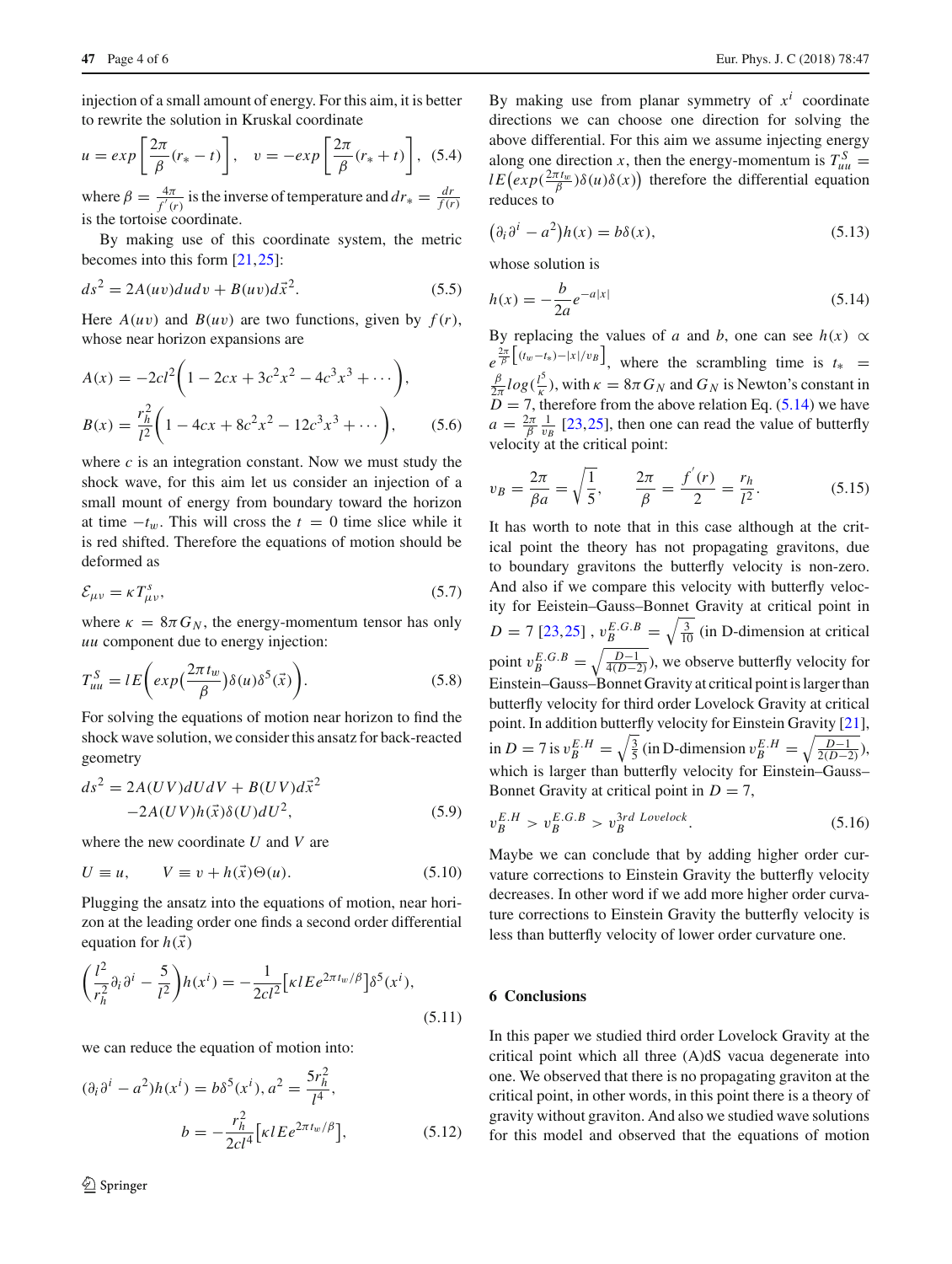injection of a small amount of energy. For this aim, it is better to rewrite the solution in Kruskal coordinate

$$
u = exp\left[\frac{2\pi}{\beta}(r_* - t)\right], \quad v = -exp\left[\frac{2\pi}{\beta}(r_* + t)\right], \quad (5.4)
$$

where  $\beta = \frac{4\pi}{f'(r)}$  is the inverse of temperature and  $dr_* = \frac{dr}{f(r)}$ is the tortoise coordinate.

By making use of this coordinate system, the metric becomes into this form [\[21](#page-4-9),[25\]](#page-4-14):

$$
ds^2 = 2A(uv)dudv + B(uv)d\vec{x}^2.
$$
 (5.5)

Here  $A(uv)$  and  $B(uv)$  are two functions, given by  $f(r)$ , whose near horizon expansions are

$$
A(x) = -2cl^2 \left( 1 - 2cx + 3c^2 x^2 - 4c^3 x^3 + \cdots \right),
$$
  
\n
$$
B(x) = \frac{r_h^2}{l^2} \left( 1 - 4cx + 8c^2 x^2 - 12c^3 x^3 + \cdots \right),
$$
\n(5.6)

where *c* is an integration constant. Now we must study the shock wave, for this aim let us consider an injection of a small mount of energy from boundary toward the horizon at time  $-t_w$ . This will cross the  $t = 0$  time slice while it is red shifted. Therefore the equations of motion should be deformed as

$$
\mathcal{E}_{\mu\nu} = \kappa T_{\mu\nu}^s,\tag{5.7}
$$

where  $\kappa = 8\pi G_N$ , the energy-momentum tensor has only *uu* component due to energy injection:

$$
T_{uu}^S = lE\bigg(exp\bigg(\frac{2\pi t_w}{\beta}\bigg)\delta(u)\delta^5(\vec{x})\bigg).
$$
\n(5.8)

For solving the equations of motion near horizon to find the shock wave solution, we consider this ansatz for back-reacted geometry

$$
ds2 = 2A(UV)dUdV + B(UV)d\vec{x}2
$$
  
-2A(UV)h(\vec{x})\delta(U)dU<sup>2</sup>, (5.9)

where the new coordinate *U* and *V* are

$$
U \equiv u, \qquad V \equiv v + h(\vec{x})\Theta(u). \tag{5.10}
$$

Plugging the ansatz into the equations of motion, near horizon at the leading order one finds a second order differential equation for  $h(\vec{x})$ 

$$
\left(\frac{l^2}{r_h^2}\partial_i\partial^i - \frac{5}{l^2}\right)h(x^i) = -\frac{1}{2cl^2} \left[\kappa l E e^{2\pi t_w/\beta}\right] \delta^5(x^i),\tag{5.11}
$$

we can reduce the equation of motion into:

$$
(\partial_i \partial^i - a^2)h(x^i) = b\delta^5(x^i), a^2 = \frac{5r_h^2}{l^4},
$$
  

$$
b = -\frac{r_h^2}{2cl^4} \Big[ \kappa l E e^{2\pi t_w/\beta} \Big],
$$
 (5.12)

By making use from planar symmetry of  $x^i$  coordinate directions we can choose one direction for solving the above differential. For this aim we assume injecting energy along one direction *x*, then the energy-momentum is  $T_{uu}^S$  =  $l E\left(\exp(\frac{2\pi t_w}{\beta})\delta(u)\delta(x)\right)$  therefore the differential equation reduces to

$$
(\partial_i \partial^i - a^2)h(x) = b\delta(x),\tag{5.13}
$$

whose solution is

<span id="page-3-0"></span>
$$
h(x) = -\frac{b}{2a}e^{-a|x|}
$$
\n(5.14)

By replacing the values of *a* and *b*, one can see  $h(x) \propto$  $e^{\frac{2\pi}{\beta}[(t_w-t_*)-|x|/v_B]}$ , where the scrambling time is  $t_* =$ <br> $\frac{\beta}{\beta}$  log( $\frac{\beta}{\beta}$ ) with  $\kappa = 8\pi G$  and  $G$  is Newton's constant in  $\frac{\beta}{2\pi}$ *log*( $\frac{l^5}{\kappa}$ ), with  $\kappa = 8\pi G_N$  and  $G_N$  is Newton's constant in  $\overline{D}$  = 7, therefore from the above relation Eq. [\(5.14\)](#page-3-0) we have  $a = \frac{2\pi}{\beta} \frac{1}{v_B}$  [\[23,](#page-4-15)[25\]](#page-4-14), then one can read the value of butterfly velocity at the critical point:

$$
v_B = \frac{2\pi}{\beta a} = \sqrt{\frac{1}{5}}, \qquad \frac{2\pi}{\beta} = \frac{f'(r)}{2} = \frac{r_h}{l^2}.
$$
 (5.15)

It has worth to note that in this case although at the critical point the theory has not propagating gravitons, due to boundary gravitons the butterfly velocity is non-zero. And also if we compare this velocity with butterfly velocity for Eeistein–Gauss–Bonnet Gravity at critical point in  $D = 7$  [\[23](#page-4-15)[,25](#page-4-14)],  $v_B^{E.G.B} = \sqrt{\frac{3}{10}}$  (in D-dimension at critical point  $v_B^{E.G.B} = \sqrt{\frac{D-1}{4(D-2)}}$ , we observe butterfly velocity for Einstein–Gauss–Bonnet Gravity at critical point is larger than butterfly velocity for third order Lovelock Gravity at critical point. In addition butterfly velocity for Einstein Gravity [\[21](#page-4-9)], in *D* = 7 is  $v_B^{E.H} = \sqrt{\frac{3}{5}}$  (in D-dimension  $v_B^{E.H} = \sqrt{\frac{D-1}{2(D-2)}}$ ), which is larger than butterfly velocity for Einstein–Gauss– Bonnet Gravity at critical point in  $D = 7$ ,

$$
v_B^{E.H} > v_B^{E.G.B} > v_B^{3rd \; Lovelock}.\tag{5.16}
$$

Maybe we can conclude that by adding higher order curvature corrections to Einstein Gravity the butterfly velocity decreases. In other word if we add more higher order curvature corrections to Einstein Gravity the butterfly velocity is less than butterfly velocity of lower order curvature one.

# **6 Conclusions**

In this paper we studied third order Lovelock Gravity at the critical point which all three (A)dS vacua degenerate into one. We observed that there is no propagating graviton at the critical point, in other words, in this point there is a theory of gravity without graviton. And also we studied wave solutions for this model and observed that the equations of motion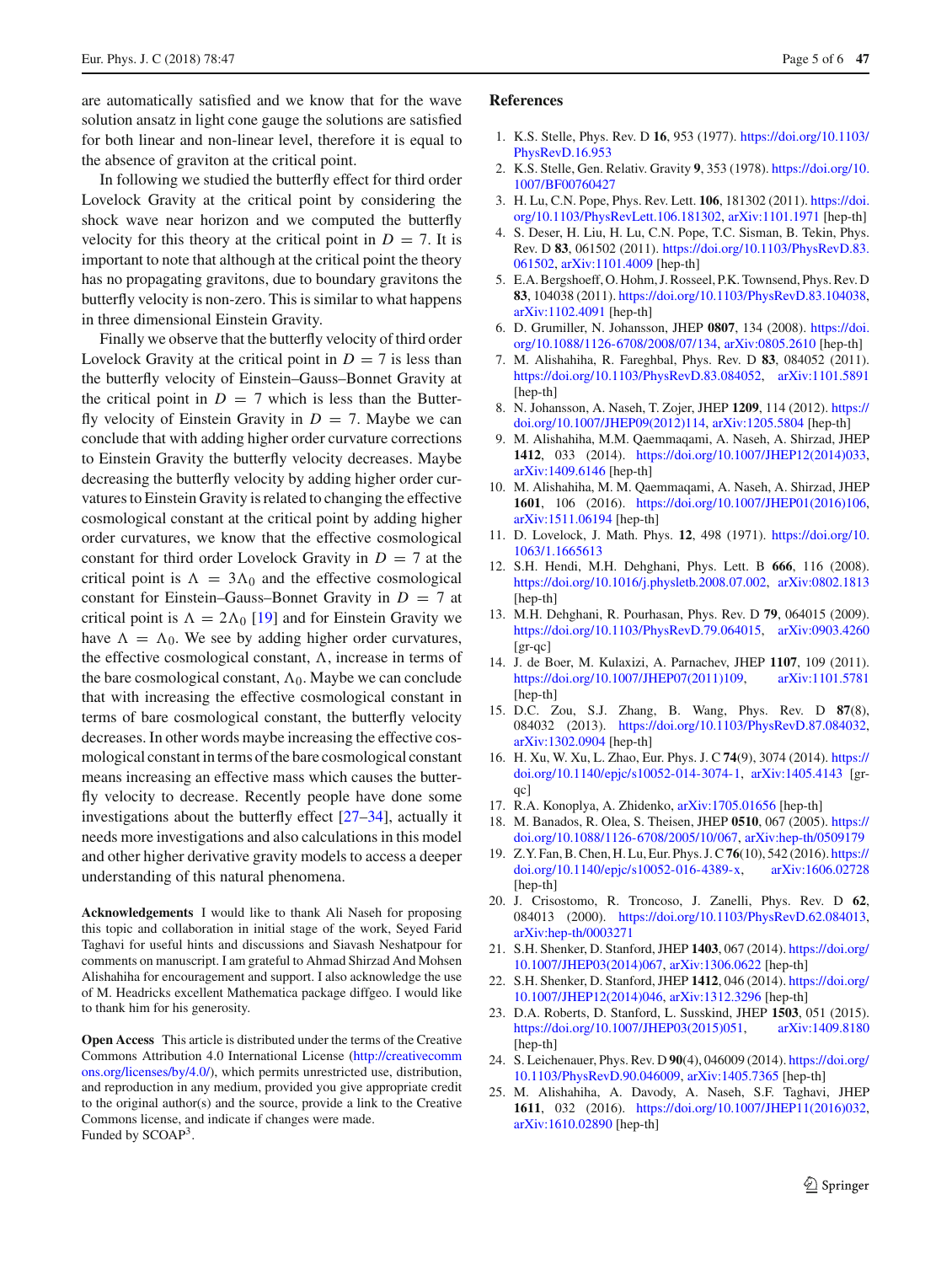are automatically satisfied and we know that for the wave solution ansatz in light cone gauge the solutions are satisfied for both linear and non-linear level, therefore it is equal to the absence of graviton at the critical point.

In following we studied the butterfly effect for third order Lovelock Gravity at the critical point by considering the shock wave near horizon and we computed the butterfly velocity for this theory at the critical point in  $D = 7$ . It is important to note that although at the critical point the theory has no propagating gravitons, due to boundary gravitons the butterfly velocity is non-zero. This is similar to what happens in three dimensional Einstein Gravity.

Finally we observe that the butterfly velocity of third order Lovelock Gravity at the critical point in  $D = 7$  is less than the butterfly velocity of Einstein–Gauss–Bonnet Gravity at the critical point in  $D = 7$  which is less than the Butterfly velocity of Einstein Gravity in  $D = 7$ . Maybe we can conclude that with adding higher order curvature corrections to Einstein Gravity the butterfly velocity decreases. Maybe decreasing the butterfly velocity by adding higher order curvatures to Einstein Gravity is related to changing the effective cosmological constant at the critical point by adding higher order curvatures, we know that the effective cosmological constant for third order Lovelock Gravity in  $D = 7$  at the critical point is  $\Lambda = 3\Lambda_0$  and the effective cosmological constant for Einstein–Gauss–Bonnet Gravity in  $D = 7$  at critical point is  $\Lambda = 2\Lambda_0$  [\[19\]](#page-4-7) and for Einstein Gravity we have  $\Lambda = \Lambda_0$ . We see by adding higher order curvatures, the effective cosmological constant,  $\Lambda$ , increase in terms of the bare cosmological constant,  $\Lambda_0$ . Maybe we can conclude that with increasing the effective cosmological constant in terms of bare cosmological constant, the butterfly velocity decreases. In other words maybe increasing the effective cosmological constant in terms of the bare cosmological constant means increasing an effective mass which causes the butterfly velocity to decrease. Recently people have done some investigations about the butterfly effect [\[27](#page-5-0)[–34\]](#page-5-1), actually it needs more investigations and also calculations in this model and other higher derivative gravity models to access a deeper understanding of this natural phenomena.

**Acknowledgements** I would like to thank Ali Naseh for proposing this topic and collaboration in initial stage of the work, Seyed Farid Taghavi for useful hints and discussions and Siavash Neshatpour for comments on manuscript. I am grateful to Ahmad Shirzad And Mohsen Alishahiha for encouragement and support. I also acknowledge the use of M. Headricks excellent Mathematica package diffgeo. I would like to thank him for his generosity.

**Open Access** This article is distributed under the terms of the Creative Commons Attribution 4.0 International License [\(http://creativecomm](http://creativecommons.org/licenses/by/4.0/) [ons.org/licenses/by/4.0/\)](http://creativecommons.org/licenses/by/4.0/), which permits unrestricted use, distribution, and reproduction in any medium, provided you give appropriate credit to the original author(s) and the source, provide a link to the Creative Commons license, and indicate if changes were made. Funded by SCOAP3.

## **References**

- <span id="page-4-0"></span>1. K.S. Stelle, Phys. Rev. D **16**, 953 (1977). [https://doi.org/10.1103/](http://dx.doi.org/https://doi.org/10.1103/PhysRevD.16.953) [PhysRevD.16.953](http://dx.doi.org/https://doi.org/10.1103/PhysRevD.16.953)
- <span id="page-4-1"></span>2. K.S. Stelle, Gen. Relativ. Gravity **9**, 353 (1978). [https://doi.org/10.](http://dx.doi.org/https://doi.org/10.1007/BF00760427) [1007/BF00760427](http://dx.doi.org/https://doi.org/10.1007/BF00760427)
- <span id="page-4-2"></span>3. H. Lu, C.N. Pope, Phys. Rev. Lett. **106**, 181302 (2011). [https://doi.](http://dx.doi.org/https://doi.org/10.1103/PhysRevLett.106.181302) [org/10.1103/PhysRevLett.106.181302,](http://dx.doi.org/https://doi.org/10.1103/PhysRevLett.106.181302) [arXiv:1101.1971](http://arxiv.org/abs/1101.1971) [hep-th]
- <span id="page-4-3"></span>4. S. Deser, H. Liu, H. Lu, C.N. Pope, T.C. Sisman, B. Tekin, Phys. Rev. D **83**, 061502 (2011). [https://doi.org/10.1103/PhysRevD.83.](http://dx.doi.org/https://doi.org/10.1103/PhysRevD.83.061502) [061502,](http://dx.doi.org/https://doi.org/10.1103/PhysRevD.83.061502) [arXiv:1101.4009](http://arxiv.org/abs/1101.4009) [hep-th]
- <span id="page-4-4"></span>5. E.A. Bergshoeff, O. Hohm, J. Rosseel, P.K. Townsend, Phys. Rev. D **83**, 104038 (2011). [https://doi.org/10.1103/PhysRevD.83.104038,](http://dx.doi.org/https://doi.org/10.1103/PhysRevD.83.104038) [arXiv:1102.4091](http://arxiv.org/abs/1102.4091) [hep-th]
- 6. D. Grumiller, N. Johansson, JHEP **0807**, 134 (2008). [https://doi.](http://dx.doi.org/https://doi.org/10.1088/1126-6708/2008/07/134) [org/10.1088/1126-6708/2008/07/134,](http://dx.doi.org/https://doi.org/10.1088/1126-6708/2008/07/134) [arXiv:0805.2610](http://arxiv.org/abs/0805.2610) [hep-th]
- <span id="page-4-8"></span>7. M. Alishahiha, R. Fareghbal, Phys. Rev. D **83**, 084052 (2011). [https://doi.org/10.1103/PhysRevD.83.084052,](http://dx.doi.org/https://doi.org/10.1103/PhysRevD.83.084052) [arXiv:1101.5891](http://arxiv.org/abs/1101.5891) [hep-th]
- 8. N. Johansson, A. Naseh, T. Zojer, JHEP **1209**, 114 (2012). [https://](http://dx.doi.org/https://doi.org/10.1007/JHEP09(2012)114) [doi.org/10.1007/JHEP09\(2012\)114,](http://dx.doi.org/https://doi.org/10.1007/JHEP09(2012)114) [arXiv:1205.5804](http://arxiv.org/abs/1205.5804) [hep-th]
- 9. M. Alishahiha, M.M. Qaemmaqami, A. Naseh, A. Shirzad, JHEP **1412**, 033 (2014). [https://doi.org/10.1007/JHEP12\(2014\)033,](http://dx.doi.org/https://doi.org/10.1007/JHEP12(2014)033) [arXiv:1409.6146](http://arxiv.org/abs/1409.6146) [hep-th]
- <span id="page-4-5"></span>10. M. Alishahiha, M. M. Qaemmaqami, A. Naseh, A. Shirzad, JHEP **1601**, 106 (2016). [https://doi.org/10.1007/JHEP01\(2016\)106,](http://dx.doi.org/https://doi.org/10.1007/JHEP01(2016)106) [arXiv:1511.06194](http://arxiv.org/abs/1511.06194) [hep-th]
- <span id="page-4-6"></span>11. D. Lovelock, J. Math. Phys. **12**, 498 (1971). [https://doi.org/10.](http://dx.doi.org/https://doi.org/10.1063/1.1665613) [1063/1.1665613](http://dx.doi.org/https://doi.org/10.1063/1.1665613)
- <span id="page-4-11"></span>12. S.H. Hendi, M.H. Dehghani, Phys. Lett. B **666**, 116 (2008). [https://doi.org/10.1016/j.physletb.2008.07.002,](http://dx.doi.org/https://doi.org/10.1016/j.physletb.2008.07.002) [arXiv:0802.1813](http://arxiv.org/abs/0802.1813) [hep-th]
- 13. M.H. Dehghani, R. Pourhasan, Phys. Rev. D **79**, 064015 (2009). [https://doi.org/10.1103/PhysRevD.79.064015,](http://dx.doi.org/https://doi.org/10.1103/PhysRevD.79.064015) [arXiv:0903.4260](http://arxiv.org/abs/0903.4260) [gr-qc]
- 14. J. de Boer, M. Kulaxizi, A. Parnachev, JHEP **1107**, 109 (2011). [https://doi.org/10.1007/JHEP07\(2011\)109,](http://dx.doi.org/https://doi.org/10.1007/JHEP07(2011)109) [arXiv:1101.5781](http://arxiv.org/abs/1101.5781) [hep-th]
- 15. D.C. Zou, S.J. Zhang, B. Wang, Phys. Rev. D **87**(8), 084032 (2013). [https://doi.org/10.1103/PhysRevD.87.084032,](http://dx.doi.org/https://doi.org/10.1103/PhysRevD.87.084032) [arXiv:1302.0904](http://arxiv.org/abs/1302.0904) [hep-th]
- 16. H. Xu, W. Xu, L. Zhao, Eur. Phys. J. C **74**(9), 3074 (2014). [https://](http://dx.doi.org/https://doi.org/10.1140/epjc/s10052-014-3074-1) [doi.org/10.1140/epjc/s10052-014-3074-1,](http://dx.doi.org/https://doi.org/10.1140/epjc/s10052-014-3074-1) [arXiv:1405.4143](http://arxiv.org/abs/1405.4143) [grqc]
- 17. R.A. Konoplya, A. Zhidenko, [arXiv:1705.01656](http://arxiv.org/abs/1705.01656) [hep-th]
- <span id="page-4-12"></span>18. M. Banados, R. Olea, S. Theisen, JHEP **0510**, 067 (2005). [https://](http://dx.doi.org/https://doi.org/10.1088/1126-6708/2005/10/067) [doi.org/10.1088/1126-6708/2005/10/067,](http://dx.doi.org/https://doi.org/10.1088/1126-6708/2005/10/067) [arXiv:hep-th/0509179](http://arxiv.org/abs/hep-th/0509179)
- <span id="page-4-7"></span>19. Z.Y. Fan, B. Chen, H. Lu, Eur. Phys. J. C**76**(10), 542 (2016). [https://](http://dx.doi.org/https://doi.org/10.1140/epjc/s10052-016-4389-x) [doi.org/10.1140/epjc/s10052-016-4389-x,](http://dx.doi.org/https://doi.org/10.1140/epjc/s10052-016-4389-x) [arXiv:1606.02728](http://arxiv.org/abs/1606.02728) [hep-th]
- <span id="page-4-13"></span>20. J. Crisostomo, R. Troncoso, J. Zanelli, Phys. Rev. D **62**, 084013 (2000). [https://doi.org/10.1103/PhysRevD.62.084013,](http://dx.doi.org/https://doi.org/10.1103/PhysRevD.62.084013) [arXiv:hep-th/0003271](http://arxiv.org/abs/hep-th/0003271)
- <span id="page-4-9"></span>21. S.H. Shenker, D. Stanford, JHEP **1403**, 067 (2014). [https://doi.org/](http://dx.doi.org/https://doi.org/10.1007/JHEP03(2014)067) [10.1007/JHEP03\(2014\)067,](http://dx.doi.org/https://doi.org/10.1007/JHEP03(2014)067) [arXiv:1306.0622](http://arxiv.org/abs/1306.0622) [hep-th]
- 22. S.H. Shenker, D. Stanford, JHEP **1412**, 046 (2014). [https://doi.org/](http://dx.doi.org/https://doi.org/10.1007/JHEP12(2014)046) [10.1007/JHEP12\(2014\)046,](http://dx.doi.org/https://doi.org/10.1007/JHEP12(2014)046) [arXiv:1312.3296](http://arxiv.org/abs/1312.3296) [hep-th]
- <span id="page-4-15"></span>23. D.A. Roberts, D. Stanford, L. Susskind, JHEP **1503**, 051 (2015). [https://doi.org/10.1007/JHEP03\(2015\)051,](http://dx.doi.org/https://doi.org/10.1007/JHEP03(2015)051) [arXiv:1409.8180](http://arxiv.org/abs/1409.8180) [hep-th]
- <span id="page-4-10"></span>24. S. Leichenauer, Phys. Rev. D **90**(4), 046009 (2014). [https://doi.org/](http://dx.doi.org/https://doi.org/10.1103/PhysRevD.90.046009) [10.1103/PhysRevD.90.046009,](http://dx.doi.org/https://doi.org/10.1103/PhysRevD.90.046009) [arXiv:1405.7365](http://arxiv.org/abs/1405.7365) [hep-th]
- <span id="page-4-14"></span>25. M. Alishahiha, A. Davody, A. Naseh, S.F. Taghavi, JHEP **1611**, 032 (2016). [https://doi.org/10.1007/JHEP11\(2016\)032,](http://dx.doi.org/https://doi.org/10.1007/JHEP11(2016)032) [arXiv:1610.02890](http://arxiv.org/abs/1610.02890) [hep-th]